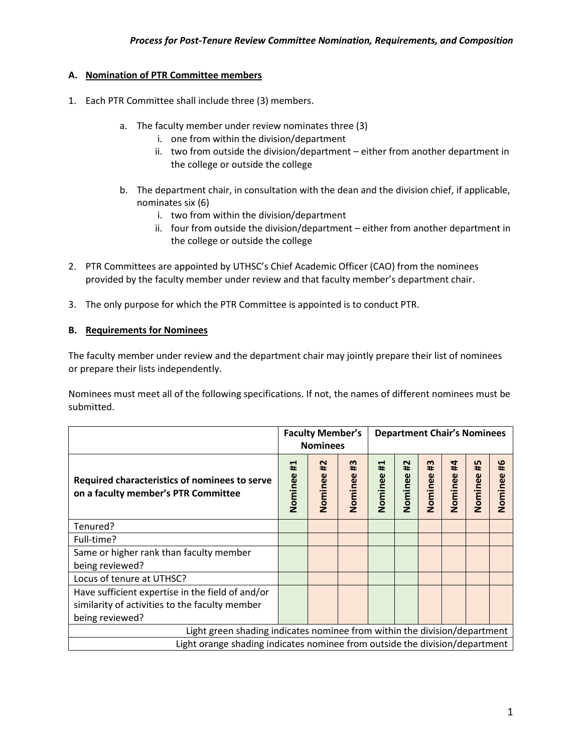## **A. Nomination of PTR Committee members**

- 1. Each PTR Committee shall include three (3) members.
	- a. The faculty member under review nominates three (3)
		- i. one from within the division/department
		- ii. two from outside the division/department either from another department in the college or outside the college
	- b. The department chair, in consultation with the dean and the division chief, if applicable, nominates six (6)
		- i. two from within the division/department
		- ii. four from outside the division/department either from another department in the college or outside the college
- 2. PTR Committees are appointed by UTHSC's Chief Academic Officer (CAO) from the nominees provided by the faculty member under review and that faculty member's department chair.
- 3. The only purpose for which the PTR Committee is appointed is to conduct PTR.

## **B. Requirements for Nominees**

The faculty member under review and the department chair may jointly prepare their list of nominees or prepare their lists independently.

Nominees must meet all of the following specifications. If not, the names of different nominees must be submitted.

|                                                                                                                       | <b>Faculty Member's</b><br><b>Nominees</b> |                           |                                        | <b>Department Chair's Nominees</b> |                        |                     |                      |                     |                           |
|-----------------------------------------------------------------------------------------------------------------------|--------------------------------------------|---------------------------|----------------------------------------|------------------------------------|------------------------|---------------------|----------------------|---------------------|---------------------------|
| Required characteristics of nominees to serve<br>on a faculty member's PTR Committee                                  | ᆸ<br>#<br>Nominee                          | $\overline{1}$<br>Nominee | $\boldsymbol{\mathfrak{m}}$<br>Nominee | ↤<br>#<br>Nominee                  | $\sim$<br>Ħ<br>Nominee | m<br>÷ŕ.<br>Nominee | #4<br><b>Nominee</b> | LŊ<br>#Ė<br>Nominee | $\overline{4}$<br>Nominee |
| Tenured?                                                                                                              |                                            |                           |                                        |                                    |                        |                     |                      |                     |                           |
| Full-time?                                                                                                            |                                            |                           |                                        |                                    |                        |                     |                      |                     |                           |
| Same or higher rank than faculty member<br>being reviewed?                                                            |                                            |                           |                                        |                                    |                        |                     |                      |                     |                           |
| Locus of tenure at UTHSC?                                                                                             |                                            |                           |                                        |                                    |                        |                     |                      |                     |                           |
| Have sufficient expertise in the field of and/or<br>similarity of activities to the faculty member<br>being reviewed? |                                            |                           |                                        |                                    |                        |                     |                      |                     |                           |
| Light green shading indicates nominee from within the division/department                                             |                                            |                           |                                        |                                    |                        |                     |                      |                     |                           |
| Light orange shading indicates nominee from outside the division/department                                           |                                            |                           |                                        |                                    |                        |                     |                      |                     |                           |